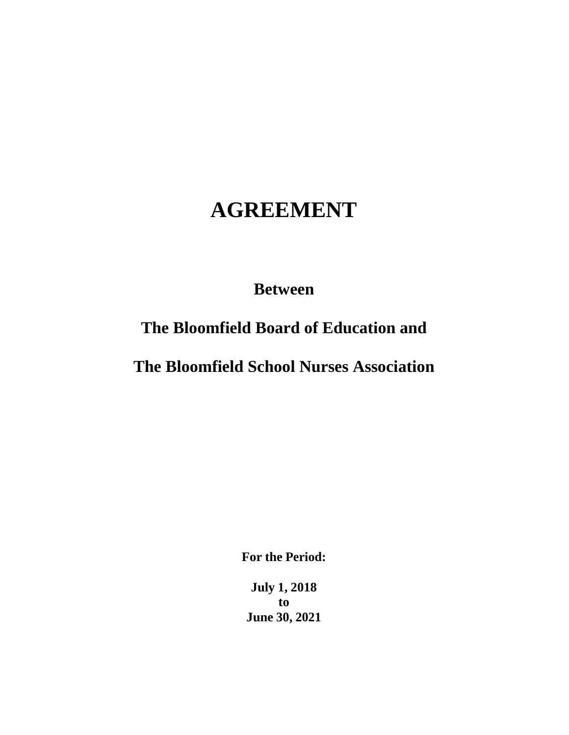# **AGREEMENT**

# **Between**

# **The Bloomfield Board of Education and**

# **The Bloomfield School Nurses Association**

**For the Period:**

**July 1, 2018 to June 30, 2021**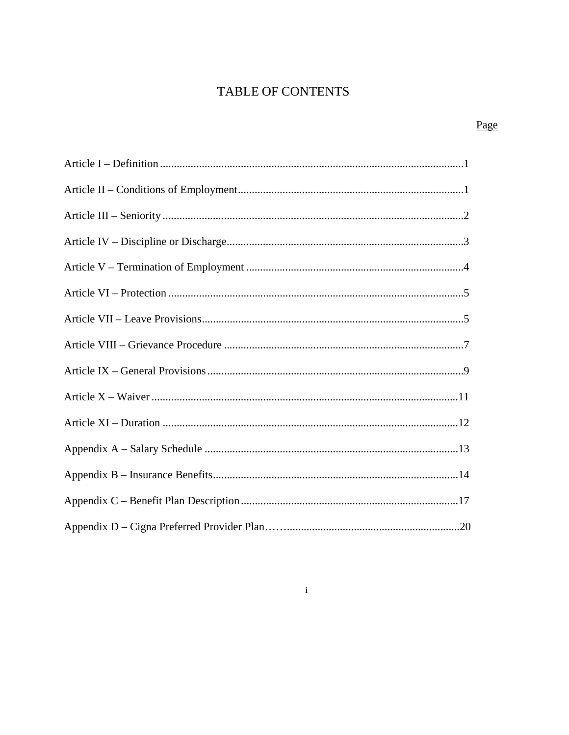# **TABLE OF CONTENTS**

# Page

# $\mathbf{i}$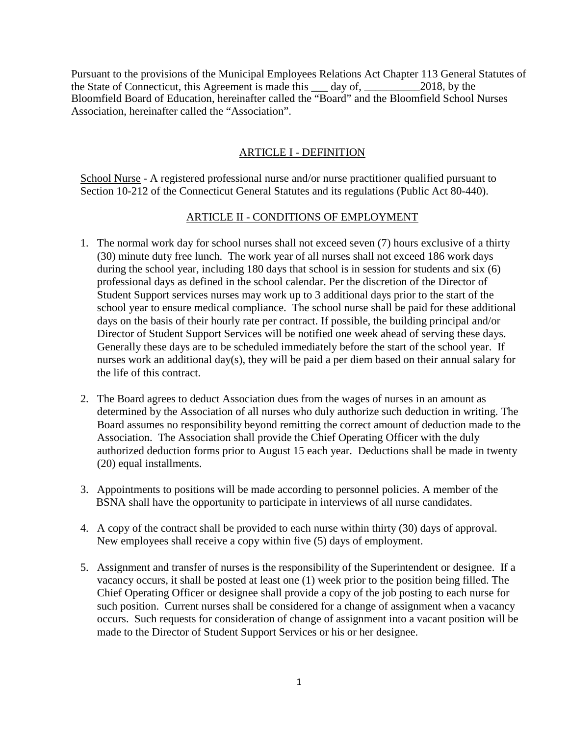Pursuant to the provisions of the Municipal Employees Relations Act Chapter 113 General Statutes of the State of Connecticut, this Agreement is made this \_\_\_ day of, \_\_\_\_\_\_\_\_\_\_2018, by the Bloomfield Board of Education, hereinafter called the "Board" and the Bloomfield School Nurses Association, hereinafter called the "Association".

#### ARTICLE I - DEFINITION

School Nurse - A registered professional nurse and/or nurse practitioner qualified pursuant to Section 10-212 of the Connecticut General Statutes and its regulations (Public Act 80-440).

#### ARTICLE II - CONDITIONS OF EMPLOYMENT

- 1. The normal work day for school nurses shall not exceed seven (7) hours exclusive of a thirty (30) minute duty free lunch. The work year of all nurses shall not exceed 186 work days during the school year, including 180 days that school is in session for students and six (6) professional days as defined in the school calendar. Per the discretion of the Director of Student Support services nurses may work up to 3 additional days prior to the start of the school year to ensure medical compliance. The school nurse shall be paid for these additional days on the basis of their hourly rate per contract. If possible, the building principal and/or Director of Student Support Services will be notified one week ahead of serving these days. Generally these days are to be scheduled immediately before the start of the school year. If nurses work an additional day(s), they will be paid a per diem based on their annual salary for the life of this contract.
- 2. The Board agrees to deduct Association dues from the wages of nurses in an amount as determined by the Association of all nurses who duly authorize such deduction in writing. The Board assumes no responsibility beyond remitting the correct amount of deduction made to the Association. The Association shall provide the Chief Operating Officer with the duly authorized deduction forms prior to August 15 each year. Deductions shall be made in twenty (20) equal installments.
- 3. Appointments to positions will be made according to personnel policies. A member of the BSNA shall have the opportunity to participate in interviews of all nurse candidates.
- 4. A copy of the contract shall be provided to each nurse within thirty (30) days of approval. New employees shall receive a copy within five (5) days of employment.
- 5. Assignment and transfer of nurses is the responsibility of the Superintendent or designee. If a vacancy occurs, it shall be posted at least one (1) week prior to the position being filled. The Chief Operating Officer or designee shall provide a copy of the job posting to each nurse for such position. Current nurses shall be considered for a change of assignment when a vacancy occurs. Such requests for consideration of change of assignment into a vacant position will be made to the Director of Student Support Services or his or her designee.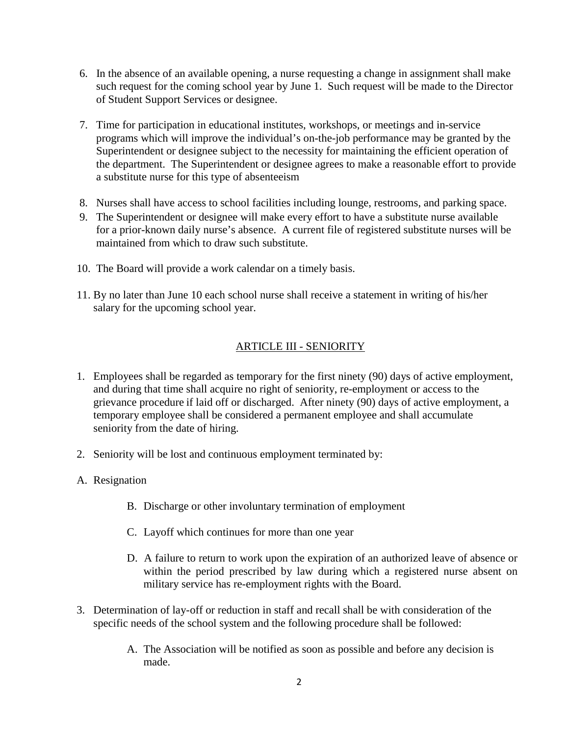- 6. In the absence of an available opening, a nurse requesting a change in assignment shall make such request for the coming school year by June 1. Such request will be made to the Director of Student Support Services or designee.
- 7. Time for participation in educational institutes, workshops, or meetings and in-service programs which will improve the individual's on-the-job performance may be granted by the Superintendent or designee subject to the necessity for maintaining the efficient operation of the department. The Superintendent or designee agrees to make a reasonable effort to provide a substitute nurse for this type of absenteeism
- 8. Nurses shall have access to school facilities including lounge, restrooms, and parking space.
- 9. The Superintendent or designee will make every effort to have a substitute nurse available for a prior-known daily nurse's absence. A current file of registered substitute nurses will be maintained from which to draw such substitute.
- 10. The Board will provide a work calendar on a timely basis.
- 11. By no later than June 10 each school nurse shall receive a statement in writing of his/her salary for the upcoming school year.

# ARTICLE III - SENIORITY

- 1. Employees shall be regarded as temporary for the first ninety (90) days of active employment, and during that time shall acquire no right of seniority, re-employment or access to the grievance procedure if laid off or discharged. After ninety (90) days of active employment, a temporary employee shall be considered a permanent employee and shall accumulate seniority from the date of hiring.
- 2. Seniority will be lost and continuous employment terminated by:
- A. Resignation
	- B. Discharge or other involuntary termination of employment
	- C. Layoff which continues for more than one year
	- D. A failure to return to work upon the expiration of an authorized leave of absence or within the period prescribed by law during which a registered nurse absent on military service has re-employment rights with the Board.
- 3. Determination of lay-off or reduction in staff and recall shall be with consideration of the specific needs of the school system and the following procedure shall be followed:
	- A. The Association will be notified as soon as possible and before any decision is made.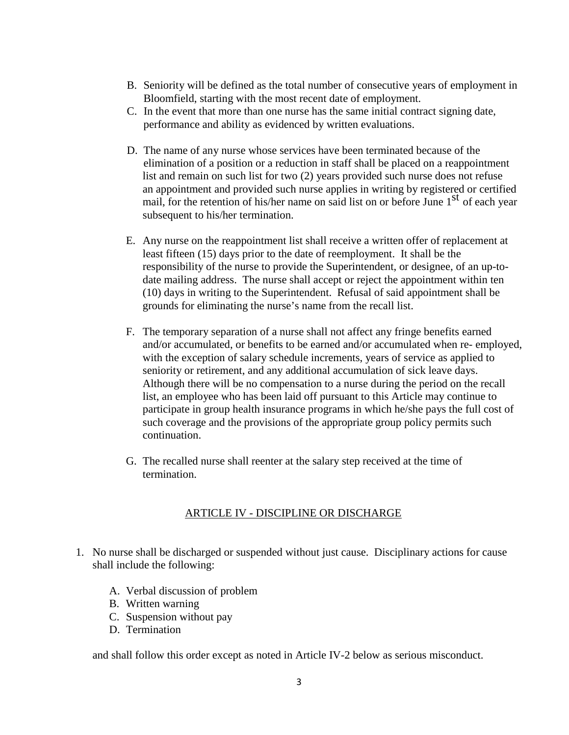- B. Seniority will be defined as the total number of consecutive years of employment in Bloomfield, starting with the most recent date of employment.
- C. In the event that more than one nurse has the same initial contract signing date, performance and ability as evidenced by written evaluations.
- D. The name of any nurse whose services have been terminated because of the elimination of a position or a reduction in staff shall be placed on a reappointment list and remain on such list for two (2) years provided such nurse does not refuse an appointment and provided such nurse applies in writing by registered or certified mail, for the retention of his/her name on said list on or before June  $1<sup>st</sup>$  of each year subsequent to his/her termination.
- E. Any nurse on the reappointment list shall receive a written offer of replacement at least fifteen (15) days prior to the date of reemployment. It shall be the responsibility of the nurse to provide the Superintendent, or designee, of an up-todate mailing address. The nurse shall accept or reject the appointment within ten (10) days in writing to the Superintendent. Refusal of said appointment shall be grounds for eliminating the nurse's name from the recall list.
- F. The temporary separation of a nurse shall not affect any fringe benefits earned and/or accumulated, or benefits to be earned and/or accumulated when re- employed, with the exception of salary schedule increments, years of service as applied to seniority or retirement, and any additional accumulation of sick leave days. Although there will be no compensation to a nurse during the period on the recall list, an employee who has been laid off pursuant to this Article may continue to participate in group health insurance programs in which he/she pays the full cost of such coverage and the provisions of the appropriate group policy permits such continuation.
- G. The recalled nurse shall reenter at the salary step received at the time of termination.

# ARTICLE IV - DISCIPLINE OR DISCHARGE

- 1. No nurse shall be discharged or suspended without just cause. Disciplinary actions for cause shall include the following:
	- A. Verbal discussion of problem
	- B. Written warning
	- C. Suspension without pay
	- D. Termination

and shall follow this order except as noted in Article IV-2 below as serious misconduct.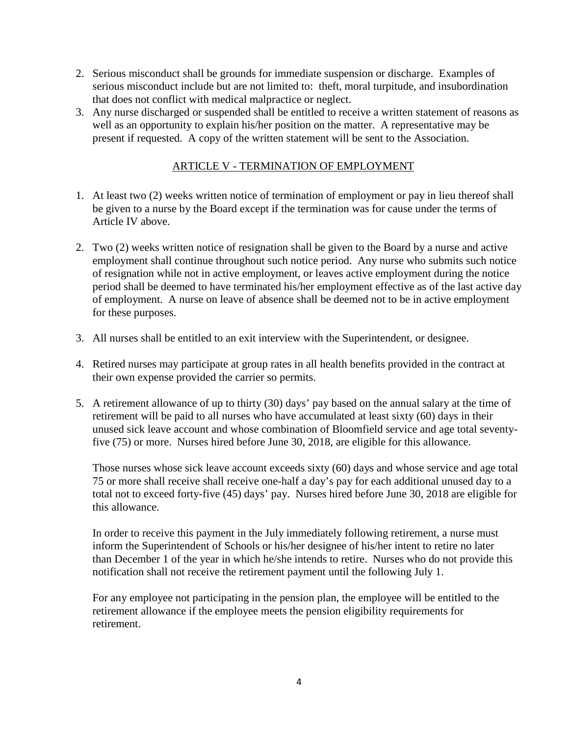- 2. Serious misconduct shall be grounds for immediate suspension or discharge. Examples of serious misconduct include but are not limited to: theft, moral turpitude, and insubordination that does not conflict with medical malpractice or neglect.
- 3. Any nurse discharged or suspended shall be entitled to receive a written statement of reasons as well as an opportunity to explain his/her position on the matter. A representative may be present if requested. A copy of the written statement will be sent to the Association.

#### ARTICLE V - TERMINATION OF EMPLOYMENT

- 1. At least two (2) weeks written notice of termination of employment or pay in lieu thereof shall be given to a nurse by the Board except if the termination was for cause under the terms of Article IV above.
- 2. Two (2) weeks written notice of resignation shall be given to the Board by a nurse and active employment shall continue throughout such notice period. Any nurse who submits such notice of resignation while not in active employment, or leaves active employment during the notice period shall be deemed to have terminated his/her employment effective as of the last active day of employment. A nurse on leave of absence shall be deemed not to be in active employment for these purposes.
- 3. All nurses shall be entitled to an exit interview with the Superintendent, or designee.
- 4. Retired nurses may participate at group rates in all health benefits provided in the contract at their own expense provided the carrier so permits.
- 5. A retirement allowance of up to thirty (30) days' pay based on the annual salary at the time of retirement will be paid to all nurses who have accumulated at least sixty (60) days in their unused sick leave account and whose combination of Bloomfield service and age total seventyfive (75) or more. Nurses hired before June 30, 2018, are eligible for this allowance.

Those nurses whose sick leave account exceeds sixty (60) days and whose service and age total 75 or more shall receive shall receive one-half a day's pay for each additional unused day to a total not to exceed forty-five (45) days' pay. Nurses hired before June 30, 2018 are eligible for this allowance.

In order to receive this payment in the July immediately following retirement, a nurse must inform the Superintendent of Schools or his/her designee of his/her intent to retire no later than December 1 of the year in which he/she intends to retire. Nurses who do not provide this notification shall not receive the retirement payment until the following July 1.

For any employee not participating in the pension plan, the employee will be entitled to the retirement allowance if the employee meets the pension eligibility requirements for retirement.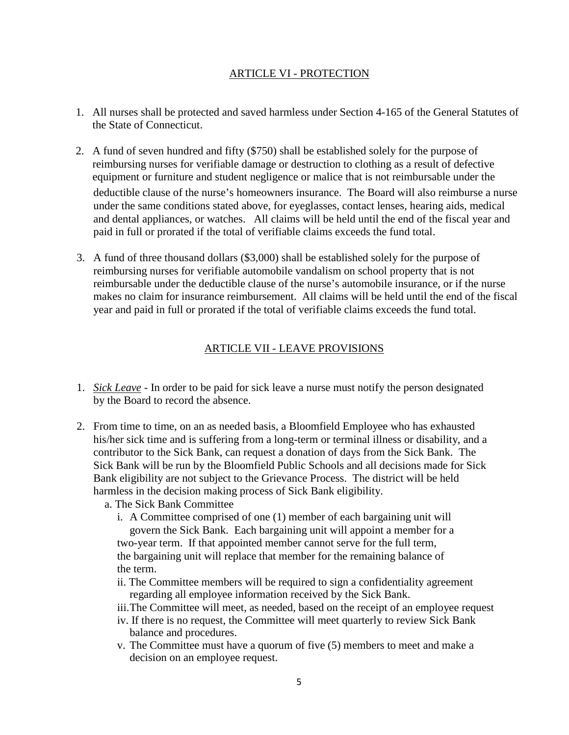#### ARTICLE VI - PROTECTION

- 1. All nurses shall be protected and saved harmless under Section 4-165 of the General Statutes of the State of Connecticut.
- 2. A fund of seven hundred and fifty (\$750) shall be established solely for the purpose of reimbursing nurses for verifiable damage or destruction to clothing as a result of defective equipment or furniture and student negligence or malice that is not reimbursable under the deductible clause of the nurse's homeowners insurance. The Board will also reimburse a nurse under the same conditions stated above, for eyeglasses, contact lenses, hearing aids, medical and dental appliances, or watches. All claims will be held until the end of the fiscal year and paid in full or prorated if the total of verifiable claims exceeds the fund total.
- 3. A fund of three thousand dollars (\$3,000) shall be established solely for the purpose of reimbursing nurses for verifiable automobile vandalism on school property that is not reimbursable under the deductible clause of the nurse's automobile insurance, or if the nurse makes no claim for insurance reimbursement. All claims will be held until the end of the fiscal year and paid in full or prorated if the total of verifiable claims exceeds the fund total.

#### ARTICLE VII - LEAVE PROVISIONS

- 1. *Sick Leave* In order to be paid for sick leave a nurse must notify the person designated by the Board to record the absence.
- 2. From time to time, on an as needed basis, a Bloomfield Employee who has exhausted his/her sick time and is suffering from a long-term or terminal illness or disability, and a contributor to the Sick Bank, can request a donation of days from the Sick Bank. The Sick Bank will be run by the Bloomfield Public Schools and all decisions made for Sick Bank eligibility are not subject to the Grievance Process. The district will be held harmless in the decision making process of Sick Bank eligibility.
	- a. The Sick Bank Committee
		- i. A Committee comprised of one (1) member of each bargaining unit will govern the Sick Bank. Each bargaining unit will appoint a member for a two-year term. If that appointed member cannot serve for the full term, the bargaining unit will replace that member for the remaining balance of the term.
		- ii. The Committee members will be required to sign a confidentiality agreement regarding all employee information received by the Sick Bank.
		- iii.The Committee will meet, as needed, based on the receipt of an employee request
		- iv. If there is no request, the Committee will meet quarterly to review Sick Bank balance and procedures.
		- v. The Committee must have a quorum of five (5) members to meet and make a decision on an employee request.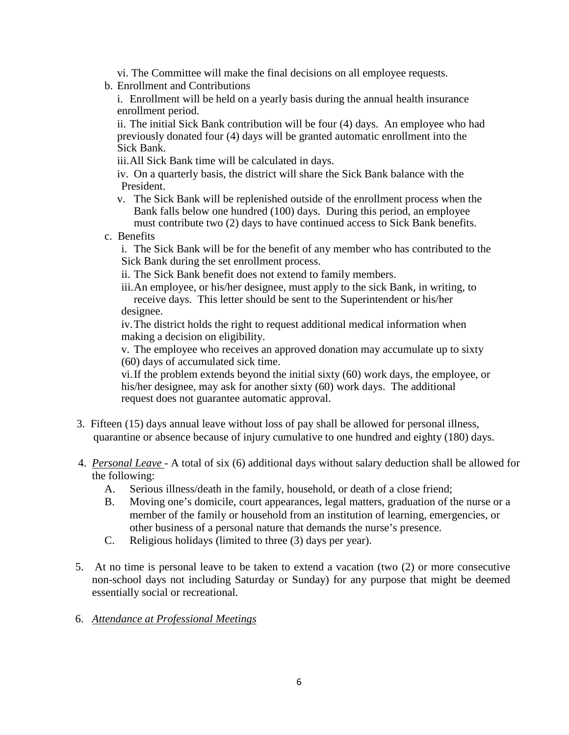- vi. The Committee will make the final decisions on all employee requests.
- b. Enrollment and Contributions
	- i. Enrollment will be held on a yearly basis during the annual health insurance enrollment period.

ii. The initial Sick Bank contribution will be four (4) days. An employee who had previously donated four (4) days will be granted automatic enrollment into the Sick Bank.

iii.All Sick Bank time will be calculated in days.

iv. On a quarterly basis, the district will share the Sick Bank balance with the President.

- v. The Sick Bank will be replenished outside of the enrollment process when the Bank falls below one hundred (100) days. During this period, an employee must contribute two (2) days to have continued access to Sick Bank benefits.
- c. Benefits

i. The Sick Bank will be for the benefit of any member who has contributed to the Sick Bank during the set enrollment process.

ii. The Sick Bank benefit does not extend to family members.

iii.An employee, or his/her designee, must apply to the sick Bank, in writing, to receive days. This letter should be sent to the Superintendent or his/her designee.

iv.The district holds the right to request additional medical information when making a decision on eligibility.

v. The employee who receives an approved donation may accumulate up to sixty (60) days of accumulated sick time.

vi.If the problem extends beyond the initial sixty (60) work days, the employee, or his/her designee, may ask for another sixty (60) work days. The additional request does not guarantee automatic approval.

- 3. Fifteen (15) days annual leave without loss of pay shall be allowed for personal illness, quarantine or absence because of injury cumulative to one hundred and eighty (180) days.
- 4. *Personal Leave -* A total of six (6) additional days without salary deduction shall be allowed for the following:
	- A. Serious illness/death in the family, household, or death of a close friend;
	- B. Moving one's domicile, court appearances, legal matters, graduation of the nurse or a member of the family or household from an institution of learning, emergencies, or other business of a personal nature that demands the nurse's presence.
	- C. Religious holidays (limited to three (3) days per year).
- 5. At no time is personal leave to be taken to extend a vacation (two (2) or more consecutive non-school days not including Saturday or Sunday) for any purpose that might be deemed essentially social or recreational.
- 6. *Attendance at Professional Meetings*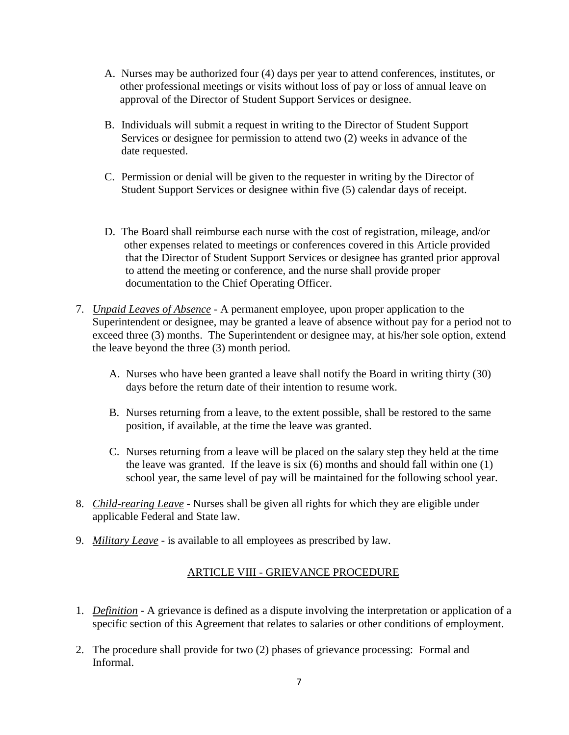- A. Nurses may be authorized four (4) days per year to attend conferences, institutes, or other professional meetings or visits without loss of pay or loss of annual leave on approval of the Director of Student Support Services or designee.
- B. Individuals will submit a request in writing to the Director of Student Support Services or designee for permission to attend two (2) weeks in advance of the date requested.
- C. Permission or denial will be given to the requester in writing by the Director of Student Support Services or designee within five (5) calendar days of receipt.
- D. The Board shall reimburse each nurse with the cost of registration, mileage, and/or other expenses related to meetings or conferences covered in this Article provided that the Director of Student Support Services or designee has granted prior approval to attend the meeting or conference, and the nurse shall provide proper documentation to the Chief Operating Officer.
- 7. *Unpaid Leaves of Absence* A permanent employee, upon proper application to the Superintendent or designee, may be granted a leave of absence without pay for a period not to exceed three (3) months. The Superintendent or designee may, at his/her sole option, extend the leave beyond the three (3) month period.
	- A. Nurses who have been granted a leave shall notify the Board in writing thirty (30) days before the return date of their intention to resume work.
	- B. Nurses returning from a leave, to the extent possible, shall be restored to the same position, if available, at the time the leave was granted.
	- C. Nurses returning from a leave will be placed on the salary step they held at the time the leave was granted. If the leave is six (6) months and should fall within one (1) school year, the same level of pay will be maintained for the following school year.
- 8. *Child-rearing Leave* Nurses shall be given all rights for which they are eligible under applicable Federal and State law.
- 9. *Military Leave* is available to all employees as prescribed by law.

# ARTICLE VIII - GRIEVANCE PROCEDURE

- 1. *Definition* A grievance is defined as a dispute involving the interpretation or application of a specific section of this Agreement that relates to salaries or other conditions of employment.
- 2. The procedure shall provide for two (2) phases of grievance processing: Formal and Informal.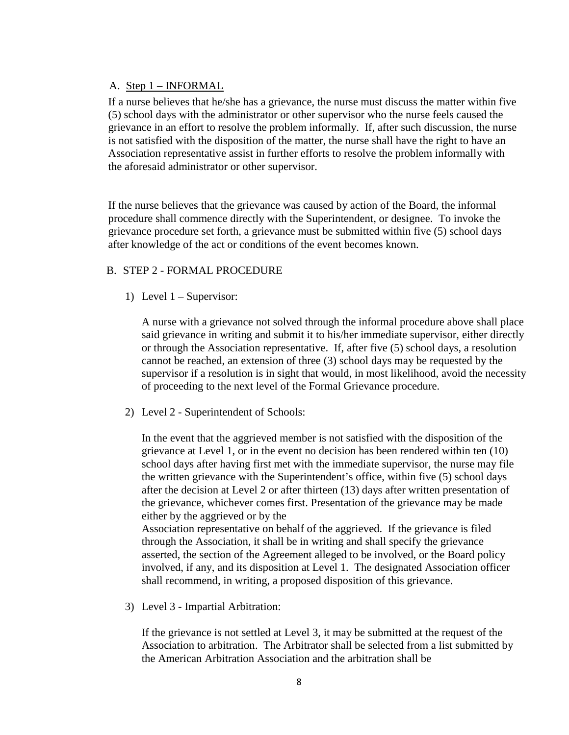#### A. Step 1 – INFORMAL

If a nurse believes that he/she has a grievance, the nurse must discuss the matter within five (5) school days with the administrator or other supervisor who the nurse feels caused the grievance in an effort to resolve the problem informally. If, after such discussion, the nurse is not satisfied with the disposition of the matter, the nurse shall have the right to have an Association representative assist in further efforts to resolve the problem informally with the aforesaid administrator or other supervisor.

If the nurse believes that the grievance was caused by action of the Board, the informal procedure shall commence directly with the Superintendent, or designee. To invoke the grievance procedure set forth, a grievance must be submitted within five (5) school days after knowledge of the act or conditions of the event becomes known.

#### B. STEP 2 - FORMAL PROCEDURE

1) Level 1 – Supervisor:

A nurse with a grievance not solved through the informal procedure above shall place said grievance in writing and submit it to his/her immediate supervisor, either directly or through the Association representative. If, after five (5) school days, a resolution cannot be reached, an extension of three (3) school days may be requested by the supervisor if a resolution is in sight that would, in most likelihood, avoid the necessity of proceeding to the next level of the Formal Grievance procedure.

2) Level 2 - Superintendent of Schools:

In the event that the aggrieved member is not satisfied with the disposition of the grievance at Level 1, or in the event no decision has been rendered within ten (10) school days after having first met with the immediate supervisor, the nurse may file the written grievance with the Superintendent's office, within five (5) school days after the decision at Level 2 or after thirteen (13) days after written presentation of the grievance, whichever comes first. Presentation of the grievance may be made either by the aggrieved or by the

Association representative on behalf of the aggrieved. If the grievance is filed through the Association, it shall be in writing and shall specify the grievance asserted, the section of the Agreement alleged to be involved, or the Board policy involved, if any, and its disposition at Level 1. The designated Association officer shall recommend, in writing, a proposed disposition of this grievance.

3) Level 3 - Impartial Arbitration:

If the grievance is not settled at Level 3, it may be submitted at the request of the Association to arbitration. The Arbitrator shall be selected from a list submitted by the American Arbitration Association and the arbitration shall be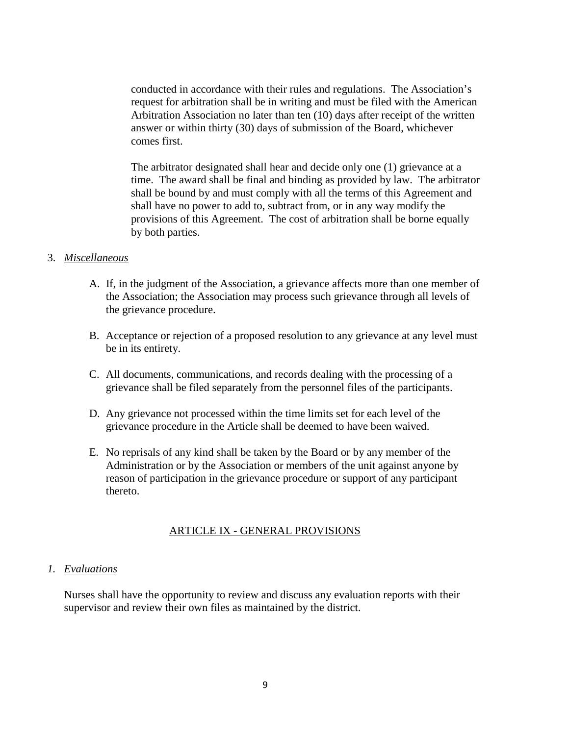conducted in accordance with their rules and regulations. The Association's request for arbitration shall be in writing and must be filed with the American Arbitration Association no later than ten (10) days after receipt of the written answer or within thirty (30) days of submission of the Board, whichever comes first.

The arbitrator designated shall hear and decide only one (1) grievance at a time. The award shall be final and binding as provided by law. The arbitrator shall be bound by and must comply with all the terms of this Agreement and shall have no power to add to, subtract from, or in any way modify the provisions of this Agreement. The cost of arbitration shall be borne equally by both parties.

#### 3. *Miscellaneous*

- A. If, in the judgment of the Association, a grievance affects more than one member of the Association; the Association may process such grievance through all levels of the grievance procedure.
- B. Acceptance or rejection of a proposed resolution to any grievance at any level must be in its entirety.
- C. All documents, communications, and records dealing with the processing of a grievance shall be filed separately from the personnel files of the participants.
- D. Any grievance not processed within the time limits set for each level of the grievance procedure in the Article shall be deemed to have been waived.
- E. No reprisals of any kind shall be taken by the Board or by any member of the Administration or by the Association or members of the unit against anyone by reason of participation in the grievance procedure or support of any participant thereto.

#### ARTICLE IX - GENERAL PROVISIONS

#### *1. Evaluations*

Nurses shall have the opportunity to review and discuss any evaluation reports with their supervisor and review their own files as maintained by the district.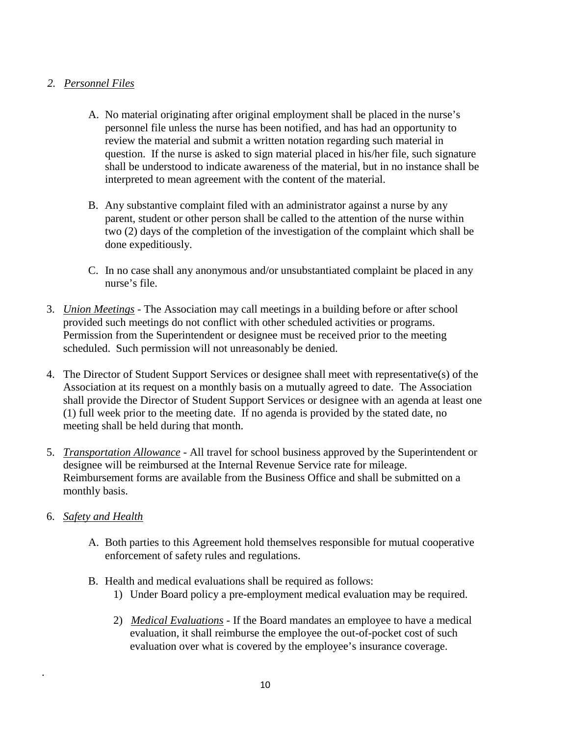# *2. Personnel Files*

- A. No material originating after original employment shall be placed in the nurse's personnel file unless the nurse has been notified, and has had an opportunity to review the material and submit a written notation regarding such material in question. If the nurse is asked to sign material placed in his/her file, such signature shall be understood to indicate awareness of the material, but in no instance shall be interpreted to mean agreement with the content of the material.
- B. Any substantive complaint filed with an administrator against a nurse by any parent, student or other person shall be called to the attention of the nurse within two (2) days of the completion of the investigation of the complaint which shall be done expeditiously.
- C. In no case shall any anonymous and/or unsubstantiated complaint be placed in any nurse's file.
- 3. *Union Meetings* The Association may call meetings in a building before or after school provided such meetings do not conflict with other scheduled activities or programs. Permission from the Superintendent or designee must be received prior to the meeting scheduled. Such permission will not unreasonably be denied.
- 4. The Director of Student Support Services or designee shall meet with representative(s) of the Association at its request on a monthly basis on a mutually agreed to date. The Association shall provide the Director of Student Support Services or designee with an agenda at least one (1) full week prior to the meeting date. If no agenda is provided by the stated date, no meeting shall be held during that month.
- 5. *Transportation Allowance* All travel for school business approved by the Superintendent or designee will be reimbursed at the Internal Revenue Service rate for mileage. Reimbursement forms are available from the Business Office and shall be submitted on a monthly basis.
- 6. *Safety and Health*

.

- A. Both parties to this Agreement hold themselves responsible for mutual cooperative enforcement of safety rules and regulations.
- B. Health and medical evaluations shall be required as follows:
	- 1) Under Board policy a pre-employment medical evaluation may be required.
	- 2) *Medical Evaluations* If the Board mandates an employee to have a medical evaluation, it shall reimburse the employee the out-of-pocket cost of such evaluation over what is covered by the employee's insurance coverage.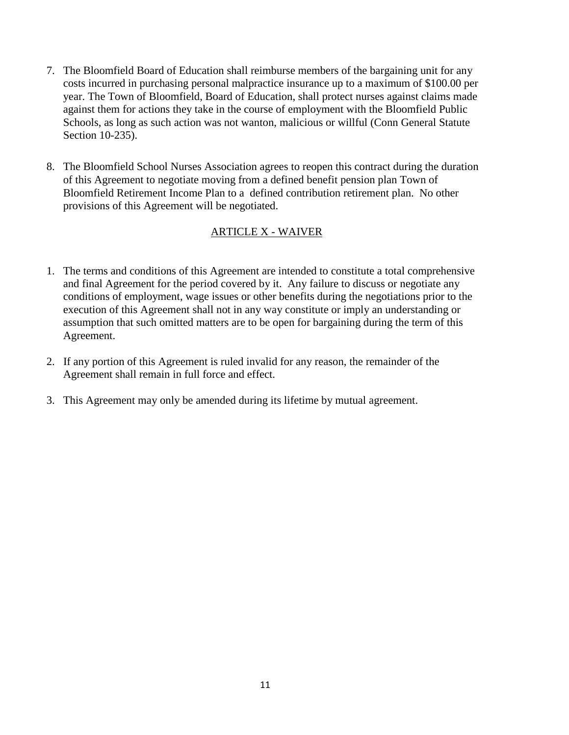- 7. The Bloomfield Board of Education shall reimburse members of the bargaining unit for any costs incurred in purchasing personal malpractice insurance up to a maximum of \$100.00 per year. The Town of Bloomfield, Board of Education, shall protect nurses against claims made against them for actions they take in the course of employment with the Bloomfield Public Schools, as long as such action was not wanton, malicious or willful (Conn General Statute Section 10-235).
- 8. The Bloomfield School Nurses Association agrees to reopen this contract during the duration of this Agreement to negotiate moving from a defined benefit pension plan Town of Bloomfield Retirement Income Plan to a defined contribution retirement plan. No other provisions of this Agreement will be negotiated.

# ARTICLE X - WAIVER

- 1. The terms and conditions of this Agreement are intended to constitute a total comprehensive and final Agreement for the period covered by it. Any failure to discuss or negotiate any conditions of employment, wage issues or other benefits during the negotiations prior to the execution of this Agreement shall not in any way constitute or imply an understanding or assumption that such omitted matters are to be open for bargaining during the term of this Agreement.
- 2. If any portion of this Agreement is ruled invalid for any reason, the remainder of the Agreement shall remain in full force and effect.
- 3. This Agreement may only be amended during its lifetime by mutual agreement.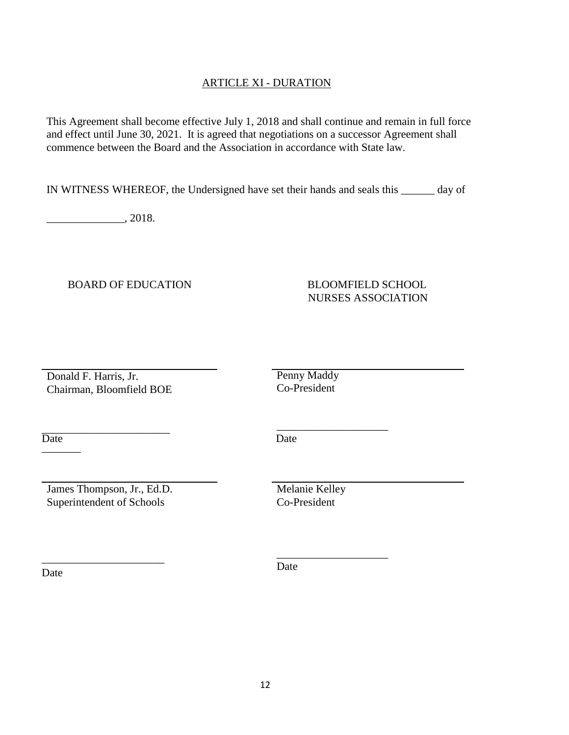### ARTICLE XI - DURATION

This Agreement shall become effective July 1, 2018 and shall continue and remain in full force and effect until June 30, 2021. It is agreed that negotiations on a successor Agreement shall commence between the Board and the Association in accordance with State law.

IN WITNESS WHEREOF, the Undersigned have set their hands and seals this \_\_\_\_\_\_ day of

\_\_\_\_\_\_\_\_\_\_\_\_\_\_, 2018.

BOARD OF EDUCATION BLOOMFIELD SCHOOL

# NURSES ASSOCIATION

Donald F. Harris, Jr. Chairman, Bloomfield BOE Penny Maddy Co-President

\_\_\_\_\_\_\_\_\_\_\_\_\_\_\_\_\_\_\_\_

\_\_\_\_\_\_\_\_\_\_\_\_\_\_\_\_\_\_\_\_

\_\_\_\_\_\_\_\_\_\_\_\_\_\_\_\_\_\_\_\_\_\_\_ Date Date Date

James Thompson, Jr., Ed.D. Superintendent of Schools

\_\_\_\_\_\_\_\_\_\_\_\_\_\_\_\_\_\_\_\_\_\_

Melanie Kelley Co-President

Date

Date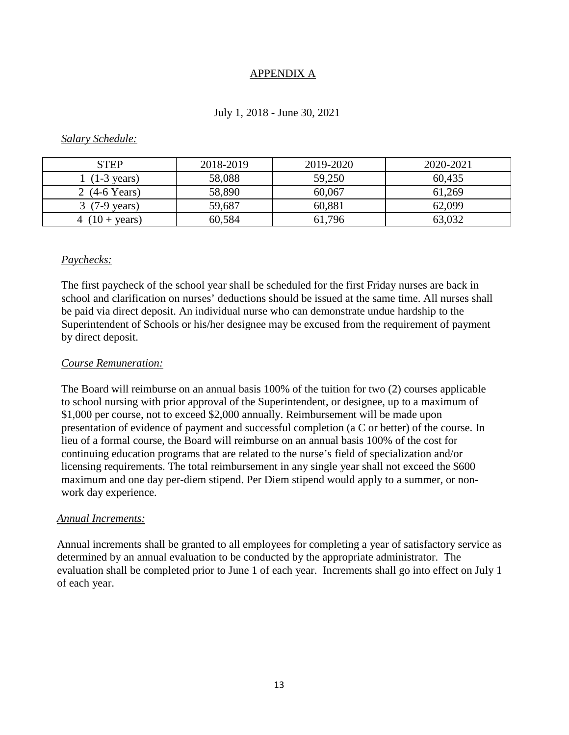#### APPENDIX A

#### July 1, 2018 - June 30, 2021

#### *Salary Schedule:*

| <b>STEP</b>             | 2018-2019 | 2019-2020 | 2020-2021 |
|-------------------------|-----------|-----------|-----------|
| $(1-3 \text{ years})$   | 58,088    | 59,250    | 60,435    |
| 2 $(4-6$ Years)         | 58,890    | 60,067    | 61,269    |
| $3(7-9 \text{ years})$  | 59,687    | 60,881    | 62,099    |
| 4 $(10 + \text{years})$ | 60,584    | 61,796    | 63.032    |

#### *Paychecks:*

The first paycheck of the school year shall be scheduled for the first Friday nurses are back in school and clarification on nurses' deductions should be issued at the same time. All nurses shall be paid via direct deposit. An individual nurse who can demonstrate undue hardship to the Superintendent of Schools or his/her designee may be excused from the requirement of payment by direct deposit.

#### *Course Remuneration:*

The Board will reimburse on an annual basis 100% of the tuition for two (2) courses applicable to school nursing with prior approval of the Superintendent, or designee, up to a maximum of \$1,000 per course, not to exceed \$2,000 annually. Reimbursement will be made upon presentation of evidence of payment and successful completion (a C or better) of the course. In lieu of a formal course, the Board will reimburse on an annual basis 100% of the cost for continuing education programs that are related to the nurse's field of specialization and/or licensing requirements. The total reimbursement in any single year shall not exceed the \$600 maximum and one day per-diem stipend. Per Diem stipend would apply to a summer, or nonwork day experience.

#### *Annual Increments:*

Annual increments shall be granted to all employees for completing a year of satisfactory service as determined by an annual evaluation to be conducted by the appropriate administrator. The evaluation shall be completed prior to June 1 of each year. Increments shall go into effect on July 1 of each year.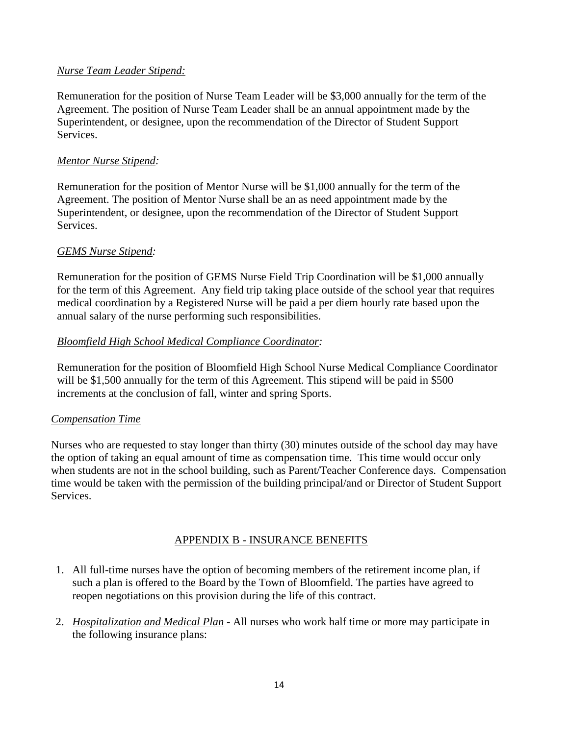#### *Nurse Team Leader Stipend:*

Remuneration for the position of Nurse Team Leader will be \$3,000 annually for the term of the Agreement. The position of Nurse Team Leader shall be an annual appointment made by the Superintendent, or designee, upon the recommendation of the Director of Student Support Services.

#### *Mentor Nurse Stipend:*

Remuneration for the position of Mentor Nurse will be \$1,000 annually for the term of the Agreement. The position of Mentor Nurse shall be an as need appointment made by the Superintendent, or designee, upon the recommendation of the Director of Student Support Services.

#### *GEMS Nurse Stipend:*

Remuneration for the position of GEMS Nurse Field Trip Coordination will be \$1,000 annually for the term of this Agreement. Any field trip taking place outside of the school year that requires medical coordination by a Registered Nurse will be paid a per diem hourly rate based upon the annual salary of the nurse performing such responsibilities.

#### *Bloomfield High School Medical Compliance Coordinator:*

Remuneration for the position of Bloomfield High School Nurse Medical Compliance Coordinator will be \$1,500 annually for the term of this Agreement. This stipend will be paid in \$500 increments at the conclusion of fall, winter and spring Sports.

#### *Compensation Time*

Nurses who are requested to stay longer than thirty (30) minutes outside of the school day may have the option of taking an equal amount of time as compensation time. This time would occur only when students are not in the school building, such as Parent/Teacher Conference days. Compensation time would be taken with the permission of the building principal/and or Director of Student Support Services.

#### APPENDIX B - INSURANCE BENEFITS

- 1. All full-time nurses have the option of becoming members of the retirement income plan, if such a plan is offered to the Board by the Town of Bloomfield. The parties have agreed to reopen negotiations on this provision during the life of this contract.
- 2. *Hospitalization and Medical Plan* All nurses who work half time or more may participate in the following insurance plans: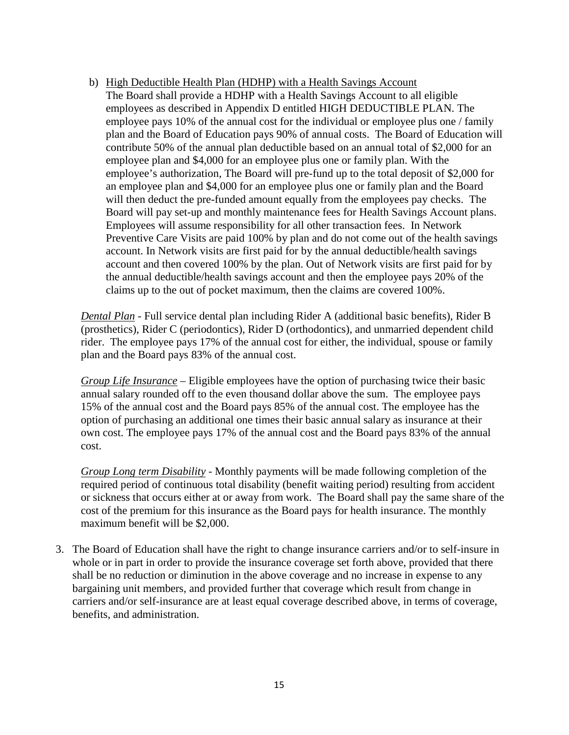b) High Deductible Health Plan (HDHP) with a Health Savings Account The Board shall provide a HDHP with a Health Savings Account to all eligible employees as described in Appendix D entitled HIGH DEDUCTIBLE PLAN. The employee pays 10% of the annual cost for the individual or employee plus one / family plan and the Board of Education pays 90% of annual costs. The Board of Education will contribute 50% of the annual plan deductible based on an annual total of \$2,000 for an employee plan and \$4,000 for an employee plus one or family plan. With the employee's authorization, The Board will pre-fund up to the total deposit of \$2,000 for an employee plan and \$4,000 for an employee plus one or family plan and the Board will then deduct the pre-funded amount equally from the employees pay checks. The Board will pay set-up and monthly maintenance fees for Health Savings Account plans. Employees will assume responsibility for all other transaction fees. In Network Preventive Care Visits are paid 100% by plan and do not come out of the health savings account. In Network visits are first paid for by the annual deductible/health savings account and then covered 100% by the plan. Out of Network visits are first paid for by the annual deductible/health savings account and then the employee pays 20% of the claims up to the out of pocket maximum, then the claims are covered 100%.

*Dental Plan* - Full service dental plan including Rider A (additional basic benefits), Rider B (prosthetics), Rider C (periodontics), Rider D (orthodontics), and unmarried dependent child rider. The employee pays 17% of the annual cost for either, the individual, spouse or family plan and the Board pays 83% of the annual cost.

*Group Life Insurance* – Eligible employees have the option of purchasing twice their basic annual salary rounded off to the even thousand dollar above the sum. The employee pays 15% of the annual cost and the Board pays 85% of the annual cost. The employee has the option of purchasing an additional one times their basic annual salary as insurance at their own cost. The employee pays 17% of the annual cost and the Board pays 83% of the annual cost.

*Group Long term Disability* - Monthly payments will be made following completion of the required period of continuous total disability (benefit waiting period) resulting from accident or sickness that occurs either at or away from work. The Board shall pay the same share of the cost of the premium for this insurance as the Board pays for health insurance. The monthly maximum benefit will be \$2,000.

3. The Board of Education shall have the right to change insurance carriers and/or to self-insure in whole or in part in order to provide the insurance coverage set forth above, provided that there shall be no reduction or diminution in the above coverage and no increase in expense to any bargaining unit members, and provided further that coverage which result from change in carriers and/or self-insurance are at least equal coverage described above, in terms of coverage, benefits, and administration.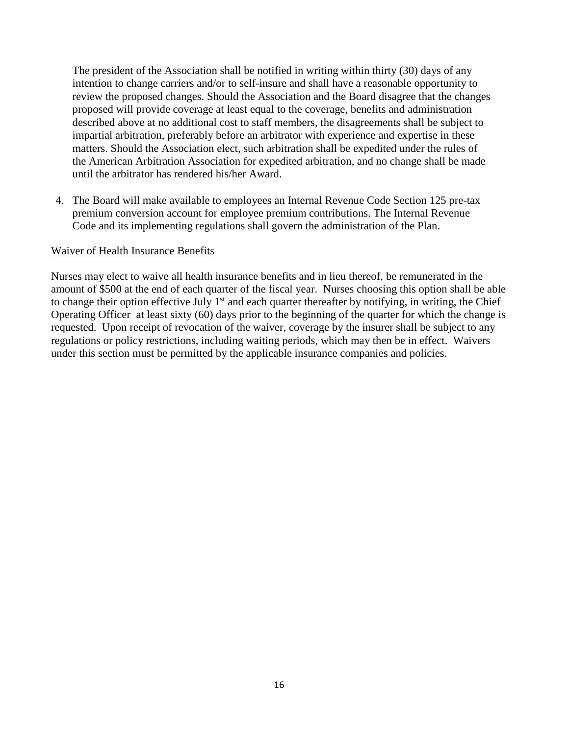The president of the Association shall be notified in writing within thirty (30) days of any intention to change carriers and/or to self-insure and shall have a reasonable opportunity to review the proposed changes. Should the Association and the Board disagree that the changes proposed will provide coverage at least equal to the coverage, benefits and administration described above at no additional cost to staff members, the disagreements shall be subject to impartial arbitration, preferably before an arbitrator with experience and expertise in these matters. Should the Association elect, such arbitration shall be expedited under the rules of the American Arbitration Association for expedited arbitration, and no change shall be made until the arbitrator has rendered his/her Award.

4. The Board will make available to employees an Internal Revenue Code Section 125 pre-tax premium conversion account for employee premium contributions. The Internal Revenue Code and its implementing regulations shall govern the administration of the Plan.

#### Waiver of Health Insurance Benefits

Nurses may elect to waive all health insurance benefits and in lieu thereof, be remunerated in the amount of \$500 at the end of each quarter of the fiscal year. Nurses choosing this option shall be able to change their option effective July  $1<sup>st</sup>$  and each quarter thereafter by notifying, in writing, the Chief Operating Officer at least sixty (60) days prior to the beginning of the quarter for which the change is requested. Upon receipt of revocation of the waiver, coverage by the insurer shall be subject to any regulations or policy restrictions, including waiting periods, which may then be in effect. Waivers under this section must be permitted by the applicable insurance companies and policies.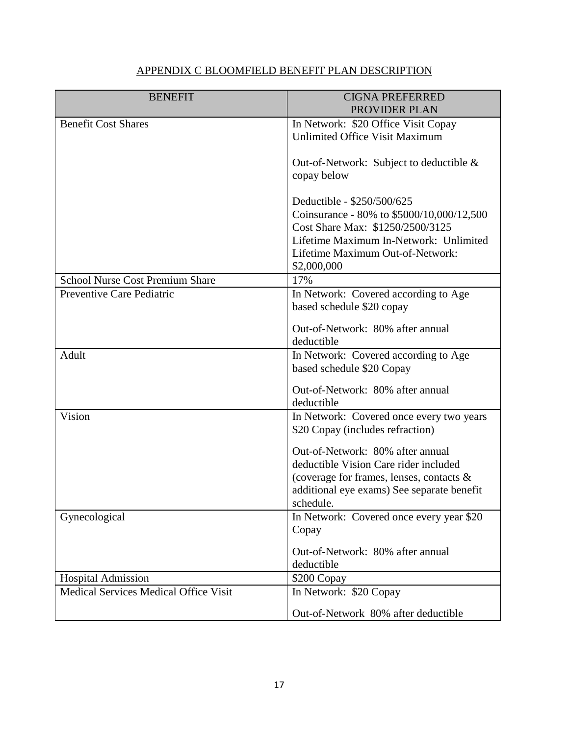# APPENDIX C BLOOMFIELD BENEFIT PLAN DESCRIPTION

| <b>BENEFIT</b>                         | <b>CIGNA PREFERRED</b><br>PROVIDER PLAN    |  |
|----------------------------------------|--------------------------------------------|--|
| <b>Benefit Cost Shares</b>             | In Network: \$20 Office Visit Copay        |  |
|                                        | Unlimited Office Visit Maximum             |  |
|                                        |                                            |  |
|                                        | Out-of-Network: Subject to deductible &    |  |
|                                        | copay below                                |  |
|                                        |                                            |  |
|                                        | Deductible - \$250/500/625                 |  |
|                                        | Coinsurance - 80% to \$5000/10,000/12,500  |  |
|                                        | Cost Share Max: \$1250/2500/3125           |  |
|                                        | Lifetime Maximum In-Network: Unlimited     |  |
|                                        | Lifetime Maximum Out-of-Network:           |  |
|                                        | \$2,000,000                                |  |
| <b>School Nurse Cost Premium Share</b> | 17%                                        |  |
| Preventive Care Pediatric              | In Network: Covered according to Age       |  |
|                                        | based schedule \$20 copay                  |  |
|                                        | Out-of-Network: 80% after annual           |  |
|                                        | deductible                                 |  |
| Adult                                  | In Network: Covered according to Age       |  |
|                                        | based schedule \$20 Copay                  |  |
|                                        | Out-of-Network: 80% after annual           |  |
|                                        | deductible                                 |  |
| Vision                                 | In Network: Covered once every two years   |  |
|                                        | \$20 Copay (includes refraction)           |  |
|                                        |                                            |  |
|                                        | Out-of-Network: 80% after annual           |  |
|                                        | deductible Vision Care rider included      |  |
|                                        | (coverage for frames, lenses, contacts &   |  |
|                                        | additional eye exams) See separate benefit |  |
|                                        | schedule.                                  |  |
| Gynecological                          | In Network: Covered once every year \$20   |  |
|                                        | Copay                                      |  |
|                                        | Out-of-Network: 80% after annual           |  |
|                                        | deductible                                 |  |
| <b>Hospital Admission</b>              | \$200 Copay                                |  |
| Medical Services Medical Office Visit  | In Network: \$20 Copay                     |  |
|                                        | Out-of-Network 80% after deductible        |  |
|                                        |                                            |  |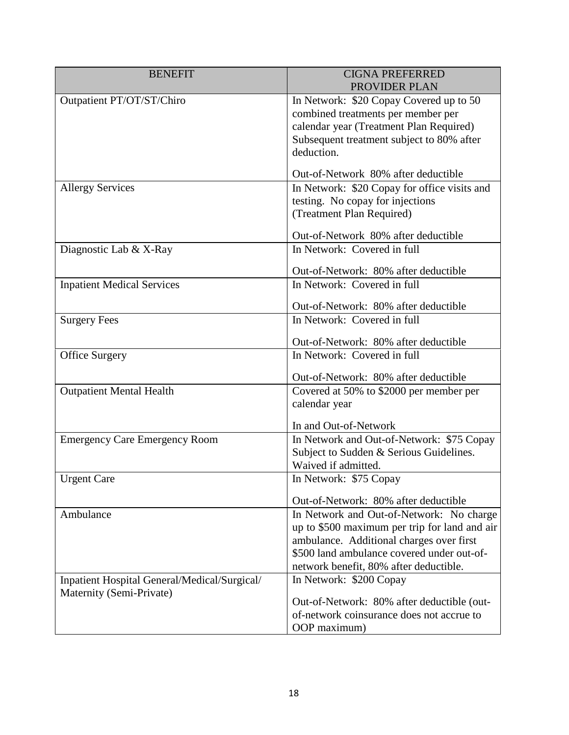| <b>BENEFIT</b>                               | <b>CIGNA PREFERRED</b><br>PROVIDER PLAN                                                                                                                                             |  |
|----------------------------------------------|-------------------------------------------------------------------------------------------------------------------------------------------------------------------------------------|--|
| Outpatient PT/OT/ST/Chiro                    | In Network: \$20 Copay Covered up to 50<br>combined treatments per member per<br>calendar year (Treatment Plan Required)<br>Subsequent treatment subject to 80% after<br>deduction. |  |
|                                              | Out-of-Network 80% after deductible                                                                                                                                                 |  |
| <b>Allergy Services</b>                      | In Network: \$20 Copay for office visits and<br>testing. No copay for injections<br>(Treatment Plan Required)                                                                       |  |
|                                              | Out-of-Network 80% after deductible                                                                                                                                                 |  |
| Diagnostic Lab & X-Ray                       | In Network: Covered in full                                                                                                                                                         |  |
|                                              | Out-of-Network: 80% after deductible                                                                                                                                                |  |
| <b>Inpatient Medical Services</b>            | In Network: Covered in full                                                                                                                                                         |  |
|                                              | Out-of-Network: 80% after deductible                                                                                                                                                |  |
| <b>Surgery Fees</b>                          | In Network: Covered in full                                                                                                                                                         |  |
|                                              |                                                                                                                                                                                     |  |
|                                              | Out-of-Network: 80% after deductible                                                                                                                                                |  |
| <b>Office Surgery</b>                        | In Network: Covered in full                                                                                                                                                         |  |
|                                              | Out-of-Network: 80% after deductible                                                                                                                                                |  |
| <b>Outpatient Mental Health</b>              | Covered at 50% to \$2000 per member per                                                                                                                                             |  |
|                                              | calendar year                                                                                                                                                                       |  |
|                                              | In and Out-of-Network                                                                                                                                                               |  |
| <b>Emergency Care Emergency Room</b>         | In Network and Out-of-Network: \$75 Copay                                                                                                                                           |  |
|                                              | Subject to Sudden & Serious Guidelines.                                                                                                                                             |  |
|                                              | Waived if admitted.                                                                                                                                                                 |  |
| <b>Urgent Care</b>                           | In Network: \$75 Copay                                                                                                                                                              |  |
|                                              | Out-of-Network: 80% after deductible                                                                                                                                                |  |
| Ambulance                                    | In Network and Out-of-Network: No charge                                                                                                                                            |  |
|                                              | up to \$500 maximum per trip for land and air                                                                                                                                       |  |
|                                              | ambulance. Additional charges over first                                                                                                                                            |  |
|                                              | \$500 land ambulance covered under out-of-                                                                                                                                          |  |
|                                              | network benefit, 80% after deductible.                                                                                                                                              |  |
| Inpatient Hospital General/Medical/Surgical/ | In Network: \$200 Copay                                                                                                                                                             |  |
| Maternity (Semi-Private)                     | Out-of-Network: 80% after deductible (out-                                                                                                                                          |  |
|                                              | of-network coinsurance does not accrue to                                                                                                                                           |  |
|                                              | OOP maximum)                                                                                                                                                                        |  |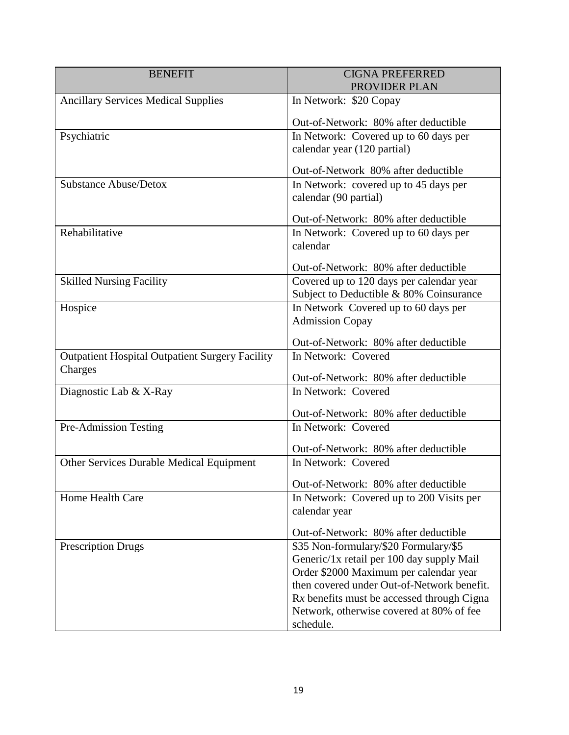| <b>BENEFIT</b>                                         | <b>CIGNA PREFERRED</b><br>PROVIDER PLAN                                                |  |
|--------------------------------------------------------|----------------------------------------------------------------------------------------|--|
| <b>Ancillary Services Medical Supplies</b>             | In Network: \$20 Copay                                                                 |  |
|                                                        | Out-of-Network: 80% after deductible                                                   |  |
| Psychiatric                                            | In Network: Covered up to 60 days per                                                  |  |
|                                                        | calendar year (120 partial)                                                            |  |
|                                                        | Out-of-Network 80% after deductible                                                    |  |
| <b>Substance Abuse/Detox</b>                           | In Network: covered up to 45 days per                                                  |  |
|                                                        | calendar (90 partial)                                                                  |  |
|                                                        | Out-of-Network: 80% after deductible                                                   |  |
| Rehabilitative                                         | In Network: Covered up to 60 days per                                                  |  |
|                                                        | calendar                                                                               |  |
|                                                        | Out-of-Network: 80% after deductible                                                   |  |
| <b>Skilled Nursing Facility</b>                        | Covered up to 120 days per calendar year                                               |  |
|                                                        | Subject to Deductible & 80% Coinsurance                                                |  |
| Hospice                                                | In Network Covered up to 60 days per                                                   |  |
|                                                        | <b>Admission Copay</b>                                                                 |  |
|                                                        | Out-of-Network: 80% after deductible                                                   |  |
| <b>Outpatient Hospital Outpatient Surgery Facility</b> | In Network: Covered                                                                    |  |
| Charges                                                | Out-of-Network: 80% after deductible                                                   |  |
| Diagnostic Lab & X-Ray                                 | In Network: Covered                                                                    |  |
|                                                        | Out-of-Network: 80% after deductible                                                   |  |
| Pre-Admission Testing                                  | In Network: Covered                                                                    |  |
|                                                        | Out-of-Network: 80% after deductible                                                   |  |
| Other Services Durable Medical Equipment               | In Network: Covered                                                                    |  |
|                                                        | Out-of-Network: 80% after deductible                                                   |  |
| Home Health Care                                       | In Network: Covered up to 200 Visits per                                               |  |
|                                                        | calendar year                                                                          |  |
|                                                        | Out-of-Network: 80% after deductible                                                   |  |
| <b>Prescription Drugs</b>                              | \$35 Non-formulary/\$20 Formulary/\$5                                                  |  |
|                                                        | Generic/1x retail per 100 day supply Mail                                              |  |
|                                                        | Order \$2000 Maximum per calendar year                                                 |  |
|                                                        | then covered under Out-of-Network benefit.                                             |  |
|                                                        | Rx benefits must be accessed through Cigna<br>Network, otherwise covered at 80% of fee |  |
|                                                        | schedule.                                                                              |  |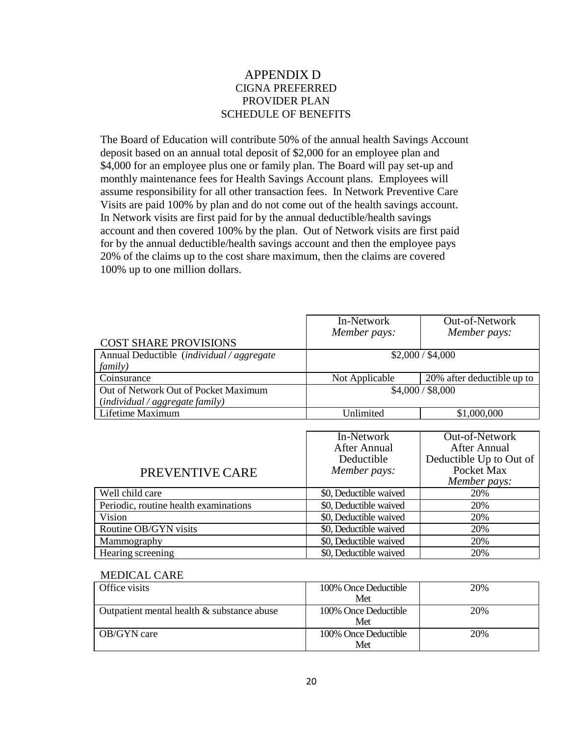#### APPENDIX D CIGNA PREFERRED PROVIDER PLAN SCHEDULE OF BENEFITS

The Board of Education will contribute 50% of the annual health Savings Account deposit based on an annual total deposit of \$2,000 for an employee plan and \$4,000 for an employee plus one or family plan. The Board will pay set-up and monthly maintenance fees for Health Savings Account plans. Employees will assume responsibility for all other transaction fees. In Network Preventive Care Visits are paid 100% by plan and do not come out of the health savings account. In Network visits are first paid for by the annual deductible/health savings account and then covered 100% by the plan. Out of Network visits are first paid for by the annual deductible/health savings account and then the employee pays 20% of the claims up to the cost share maximum, then the claims are covered 100% up to one million dollars.

|                                                          | In-Network             | Out-of-Network             |
|----------------------------------------------------------|------------------------|----------------------------|
|                                                          | Member pays:           | Member pays:               |
| <b>COST SHARE PROVISIONS</b>                             |                        |                            |
| Annual Deductible ( <i>individual</i> / <i>aggregate</i> |                        | \$2,000 / \$4,000          |
| <i>family</i> )                                          |                        |                            |
| Coinsurance                                              | Not Applicable         | 20% after deductible up to |
| Out of Network Out of Pocket Maximum                     |                        | \$4,000 / \$8,000          |
| (individual / aggregate family)                          |                        |                            |
| Lifetime Maximum                                         | Unlimited              | \$1,000,000                |
|                                                          |                        |                            |
|                                                          | In-Network             | Out-of-Network             |
|                                                          | <b>After Annual</b>    | <b>After Annual</b>        |
|                                                          | Deductible             | Deductible Up to Out of    |
| PREVENTIVE CARE                                          | Member pays:           | Pocket Max                 |
|                                                          |                        | Member pays:               |
| Well child care                                          | \$0, Deductible waived | 20%                        |
| Periodic, routine health examinations                    | \$0, Deductible waived | 20%                        |
| Vision                                                   | \$0, Deductible waived | 20%                        |
| Routine OB/GYN visits                                    | \$0, Deductible waived | 20%                        |
| Mammography                                              | \$0, Deductible waived | 20%                        |
| Hearing screening                                        | \$0, Deductible waived | 20%                        |
|                                                          |                        |                            |

#### MEDICAL CARE

| Office visits                              | 100% Once Deductible        | 20% |
|--------------------------------------------|-----------------------------|-----|
|                                            | Met                         |     |
| Outpatient mental health & substance abuse | 100% Once Deductible<br>Met | 20% |
| <b>OB/GYN</b> care                         | 100% Once Deductible<br>Met | 20% |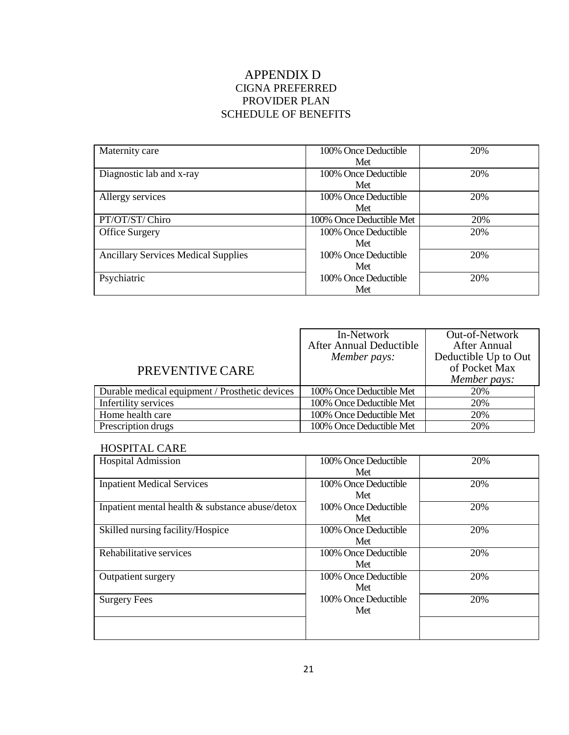# APPENDIX D CIGNA PREFERRED PROVIDER PLAN SCHEDULE OF BENEFITS

| Maternity care                             | 100% Once Deductible     | 20% |
|--------------------------------------------|--------------------------|-----|
|                                            | Met                      |     |
| Diagnostic lab and x-ray                   | 100% Once Deductible     | 20% |
|                                            | Met                      |     |
| Allergy services                           | 100% Once Deductible     | 20% |
|                                            | Met                      |     |
| PT/OT/ST/Chiro                             | 100% Once Deductible Met | 20% |
| <b>Office Surgery</b>                      | 100% Once Deductible     | 20% |
|                                            | Met                      |     |
| <b>Ancillary Services Medical Supplies</b> | 100% Once Deductible     | 20% |
|                                            | Met                      |     |
| Psychiatric                                | 100% Once Deductible     | 20% |
|                                            | Met                      |     |

|                                                | In-Network<br>After Annual Deductible | Out-of-Network<br><b>After Annual</b> |
|------------------------------------------------|---------------------------------------|---------------------------------------|
|                                                | Member pays:                          | Deductible Up to Out<br>of Pocket Max |
| PREVENTIVE CARE                                |                                       | Member pays:                          |
| Durable medical equipment / Prosthetic devices | 100% Once Deductible Met              | 20%                                   |
| Infertility services                           | 100% Once Deductible Met              | 20%                                   |
| Home health care                               | 100% Once Deductible Met              | 20%                                   |
| Prescription drugs                             | 100% Once Deductible Met              | 20%                                   |

#### HOSPITAL CARE

| <b>Hospital Admission</b>                       | 100% Once Deductible<br>Met | 20% |
|-------------------------------------------------|-----------------------------|-----|
| <b>Inpatient Medical Services</b>               | 100% Once Deductible<br>Met | 20% |
| Inpatient mental health & substance abuse/detox | 100% Once Deductible<br>Met | 20% |
| Skilled nursing facility/Hospice                | 100% Once Deductible<br>Met | 20% |
| Rehabilitative services                         | 100% Once Deductible<br>Met | 20% |
| Outpatient surgery                              | 100% Once Deductible<br>Met | 20% |
| <b>Surgery Fees</b>                             | 100% Once Deductible<br>Met | 20% |
|                                                 |                             |     |